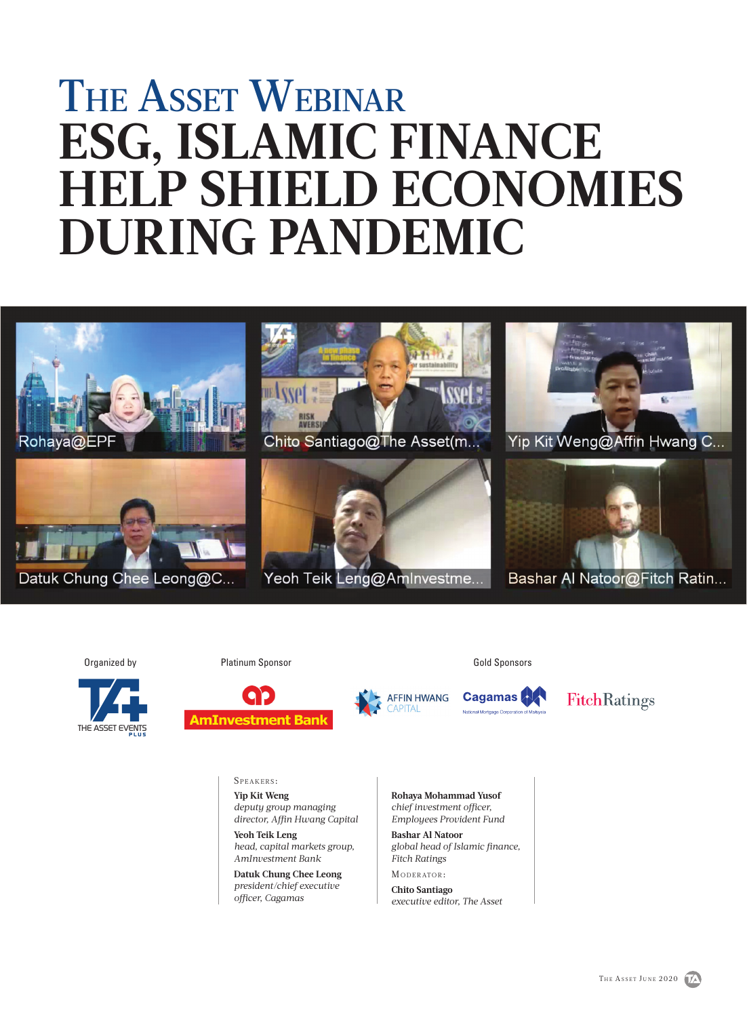# THE ASSET WEBINAR **ESG, ISLAMIC FINANCE HELP SHIELD ECONOMIES DURING PANDEMIC**



Organized by



Platinum Sponsor Contract Contract Contract Contract Contract Contract Contract Contract Contract Contract Contract Contract Contract Contract Contract Contract Contract Contract Contract Contract Contract Contract Contrac



**AFFIN HWANG** 

**Cagamas** 

**FitchRatings** 

SPEAKERS:

**Yip Kit Weng** *deputy group managing director, Affin Hwang Capital* 

**Yeoh Teik Leng**  *head, capital markets group, AmInvestment Bank*

**Datuk Chung Chee Leong**  *president/chief executive officer, Cagamas*

**Rohaya Mohammad Yusof**  *chief investment officer, Employees Provident Fund* 

**Bashar Al Natoor**  *global head of Islamic finance, Fitch Ratings*

MODERATOR:

**Chito Santiago**  *executive editor, The Asset*

THE ASSET JUNE 2020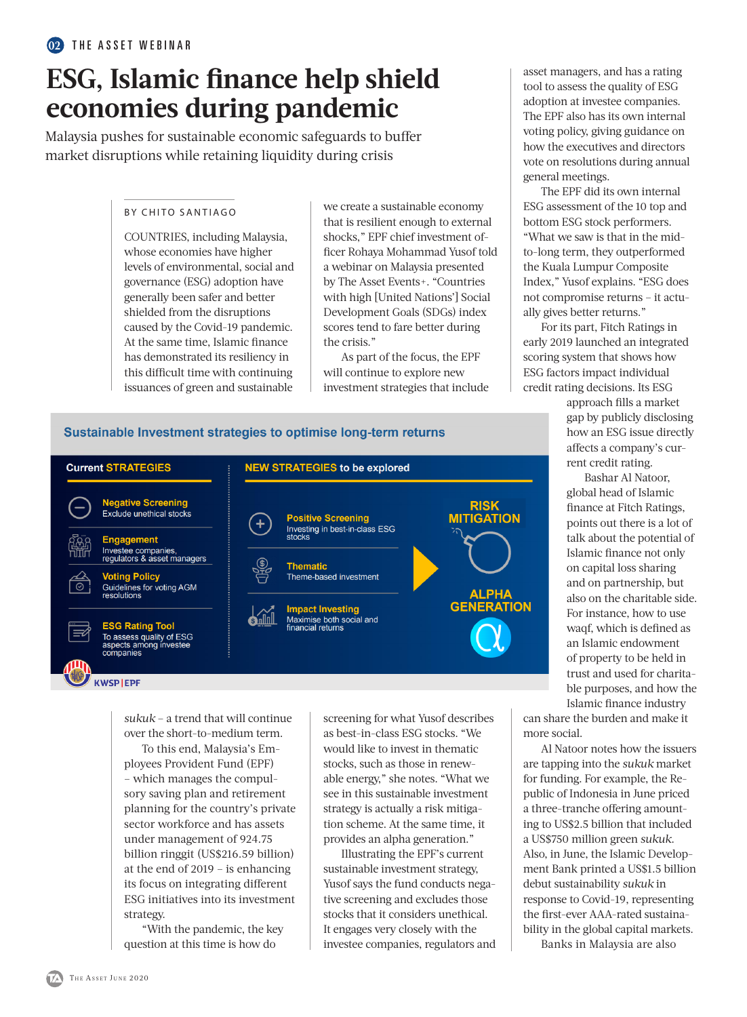# **ESG, Islamic finance help shield economies during pandemic**

Malaysia pushes for sustainable economic safeguards to buffer market disruptions while retaining liquidity during crisis

# BY CHITO SANTIAGO

COUNTRIES, including Malaysia, whose economies have higher levels of environmental, social and governance (ESG) adoption have generally been safer and better shielded from the disruptions caused by the Covid-19 pandemic. At the same time, Islamic finance has demonstrated its resiliency in this difficult time with continuing issuances of green and sustainable

we create a sustainable economy that is resilient enough to external shocks," EPF chief investment officer Rohaya Mohammad Yusof told a webinar on Malaysia presented by The Asset Events+. "Countries with high [United Nations'] Social Development Goals (SDGs) index scores tend to fare better during the crisis."

As part of the focus, the EPF will continue to explore new investment strategies that include asset managers, and has a rating tool to assess the quality of ESG adoption at investee companies. The EPF also has its own internal voting policy, giving guidance on how the executives and directors vote on resolutions during annual general meetings.

The EPF did its own internal ESG assessment of the 10 top and bottom ESG stock performers. "What we saw is that in the midto-long term, they outperformed the Kuala Lumpur Composite Index," Yusof explains. "ESG does not compromise returns – it actually gives better returns."

For its part, Fitch Ratings in early 2019 launched an integrated scoring system that shows how ESG factors impact individual credit rating decisions. Its ESG

> approach fills a market gap by publicly disclosing how an ESG issue directly affects a company's current credit rating.

Bashar Al Natoor, global head of Islamic finance at Fitch Ratings, points out there is a lot of talk about the potential of Islamic finance not only on capital loss sharing and on partnership, but also on the charitable side. For instance, how to use waqf, which is defined as an Islamic endowment of property to be held in trust and used for charitable purposes, and how the Islamic finance industry

can share the burden and make it more social.

Al Natoor notes how the issuers are tapping into the *sukuk* market for funding. For example, the Republic of Indonesia in June priced a three-tranche offering amounting to US\$2.5 billion that included a US\$750 million green *sukuk*. Also, in June, the Islamic Development Bank printed a US\$1.5 billion debut sustainability *sukuk* in response to Covid-19, representing the first-ever AAA-rated sustainability in the global capital markets.

Banks in Malaysia are also

# Sustainable Investment strategies to optimise long-term returns



*sukuk* – a trend that will continue over the short-to-medium term.

To this end, Malaysia's Employees Provident Fund (EPF) – which manages the compulsory saving plan and retirement planning for the country's private sector workforce and has assets under management of 924.75 billion ringgit (US\$216.59 billion) at the end of 2019 – is enhancing its focus on integrating different ESG initiatives into its investment strategy.

"With the pandemic, the key question at this time is how do

screening for what Yusof describes as best-in-class ESG stocks. "We would like to invest in thematic stocks, such as those in renewable energy," she notes. "What we see in this sustainable investment strategy is actually a risk mitigation scheme. At the same time, it provides an alpha generation."

Illustrating the EPF's current sustainable investment strategy, Yusof says the fund conducts negative screening and excludes those stocks that it considers unethical. It engages very closely with the investee companies, regulators and